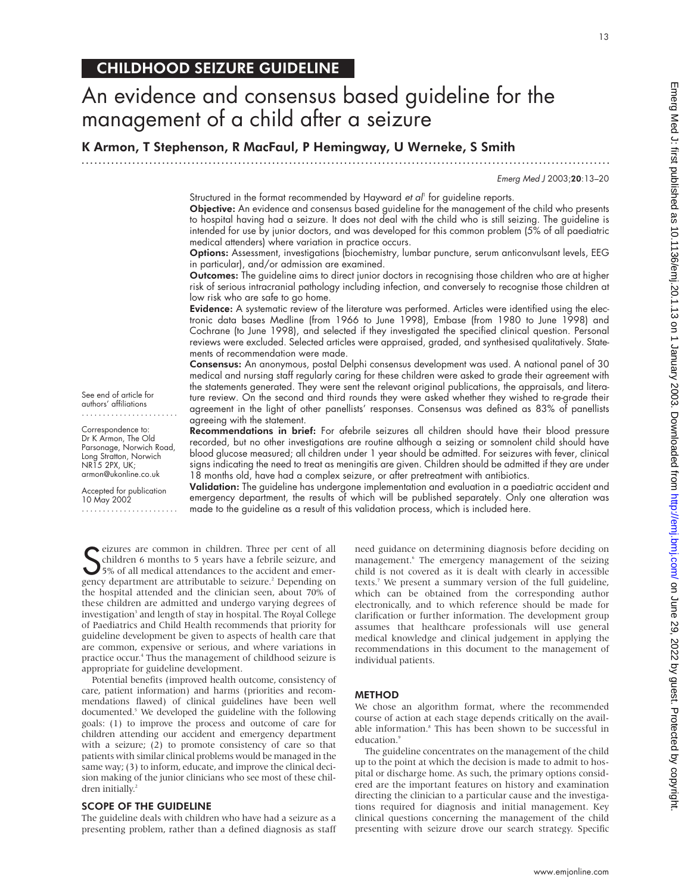# CHILDHOOD SEIZURE GUIDELINE

# An evidence and consensus based guideline for the management of a child after a seizure

K Armon, T Stephenson, R MacFaul, P Hemingway, U Werneke, S Smith

Emerg Med J 2003;20:13–20

Structured in the format recommended by Hayward et  $a^{\mu}$  for guideline reports.

.............................................................................................................................

Objective: An evidence and consensus based guideline for the management of the child who presents to hospital having had a seizure. It does not deal with the child who is still seizing. The guideline is intended for use by junior doctors, and was developed for this common problem (5% of all paediatric medical attenders) where variation in practice occurs.

Options: Assessment, investigations (biochemistry, lumbar puncture, serum anticonvulsant levels, EEG in particular), and/or admission are examined.

Outcomes: The guideline aims to direct junior doctors in recognising those children who are at higher risk of serious intracranial pathology including infection, and conversely to recognise those children at low risk who are safe to go home.

Evidence: A systematic review of the literature was performed. Articles were identified using the electronic data bases Medline (from 1966 to June 1998), Embase (from 1980 to June 1998) and Cochrane (to June 1998), and selected if they investigated the specified clinical question. Personal reviews were excluded. Selected articles were appraised, graded, and synthesised qualitatively. Statements of recommendation were made.

Consensus: An anonymous, postal Delphi consensus development was used. A national panel of 30 medical and nursing staff regularly caring for these children were asked to grade their agreement with the statements generated. They were sent the relevant original publications, the appraisals, and literature review. On the second and third rounds they were asked whether they wished to re-grade their agreement in the light of other panellists' responses. Consensus was defined as 83% of panellists agreeing with the statement.

Recommendations in brief: For afebrile seizures all children should have their blood pressure recorded, but no other investigations are routine although a seizing or somnolent child should have blood glucose measured; all children under 1 year should be admitted. For seizures with fever, clinical signs indicating the need to treat as meningitis are given. Children should be admitted if they are under 18 months old, have had a complex seizure, or after pretreatment with antibiotics.

Validation: The guideline has undergone implementation and evaluation in a paediatric accident and emergency department, the results of which will be published separately. Only one alteration was made to the guideline as a result of this validation process, which is included here.

Seizures are common in children. Three per cent of all<br>
Schildren 6 months to 5 years have a febrile seizure, and<br>
5% of all medical attendances to the accident and emer-<br>
gency denartment are attributable to seizure? Dene children 6 months to 5 years have a febrile seizure, and 5% of all medical attendances to the accident and emergency department are attributable to seizure.<sup>2</sup> Depending on the hospital attended and the clinician seen, about 70% of these children are admitted and undergo varying degrees of investigation<sup>3</sup> and length of stay in hospital. The Royal College of Paediatrics and Child Health recommends that priority for guideline development be given to aspects of health care that are common, expensive or serious, and where variations in practice occur.4 Thus the management of childhood seizure is appropriate for guideline development.

Potential benefits (improved health outcome, consistency of care, patient information) and harms (priorities and recommendations flawed) of clinical guidelines have been well documented.<sup>5</sup> We developed the guideline with the following goals: (1) to improve the process and outcome of care for children attending our accident and emergency department with a seizure; (2) to promote consistency of care so that patients with similar clinical problems would be managed in the same way; (3) to inform, educate, and improve the clinical decision making of the junior clinicians who see most of these children initially.<sup>2</sup>

# SCOPE OF THE GUIDELINE

The guideline deals with children who have had a seizure as a presenting problem, rather than a defined diagnosis as staff need guidance on determining diagnosis before deciding on management.<sup>6</sup> The emergency management of the seizing child is not covered as it is dealt with clearly in accessible texts.7 We present a summary version of the full guideline, which can be obtained from the corresponding author electronically, and to which reference should be made for clarification or further information. The development group assumes that healthcare professionals will use general medical knowledge and clinical judgement in applying the recommendations in this document to the management of individual patients.

# METHOD

We chose an algorithm format, where the recommended course of action at each stage depends critically on the available information.<sup>8</sup> This has been shown to be successful in education.9

The guideline concentrates on the management of the child up to the point at which the decision is made to admit to hospital or discharge home. As such, the primary options considered are the important features on history and examination directing the clinician to a particular cause and the investigations required for diagnosis and initial management. Key clinical questions concerning the management of the child presenting with seizure drove our search strategy. Specific

See end of article for authors' affiliations .......................

Correspondence to: Dr K Armon, The Old Parsonage, Norwich Road, Long Stratton, Norwich NR15 2PX, UK; armon@ukonline.co.uk

Accepted for publication 10 May 2002

.......................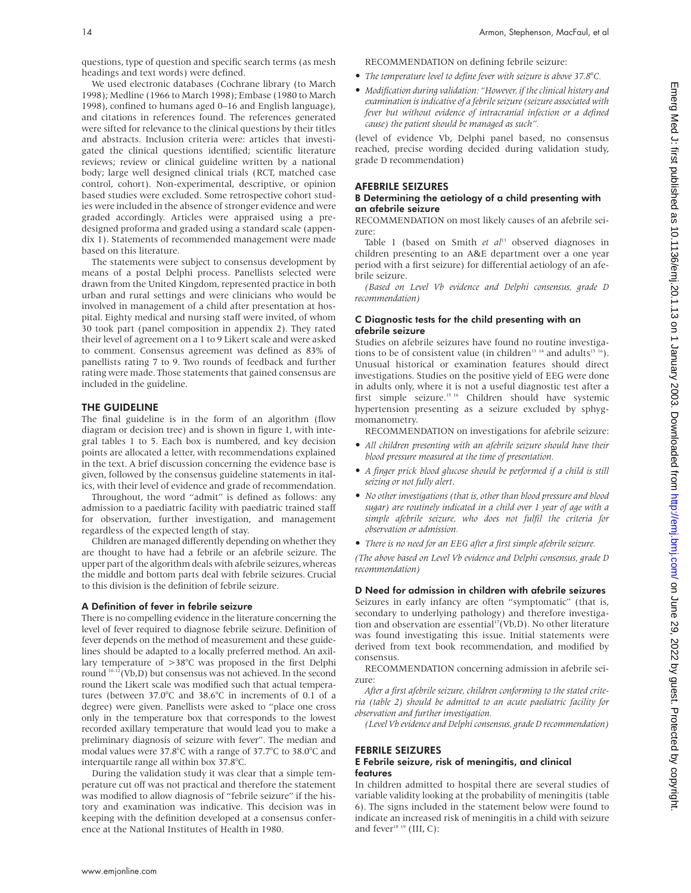questions, type of question and specific search terms (as mesh headings and text words) were defined.

We used electronic databases (Cochrane library (to March 1998); Medline (1966 to March 1998); Embase (1980 to March 1998), confined to humans aged 0–16 and English language), and citations in references found. The references generated were sifted for relevance to the clinical questions by their titles and abstracts. Inclusion criteria were: articles that investigated the clinical questions identified; scientific literature reviews; review or clinical guideline written by a national body; large well designed clinical trials (RCT, matched case control, cohort). Non-experimental, descriptive, or opinion based studies were excluded. Some retrospective cohort studies were included in the absence of stronger evidence and were graded accordingly. Articles were appraised using a predesigned proforma and graded using a standard scale (appendix 1). Statements of recommended management were made based on this literature.

The statements were subject to consensus development by means of a postal Delphi process. Panellists selected were drawn from the United Kingdom, represented practice in both urban and rural settings and were clinicians who would be involved in management of a child after presentation at hospital. Eighty medical and nursing staff were invited, of whom 30 took part (panel composition in appendix 2). They rated their level of agreement on a 1 to 9 Likert scale and were asked to comment. Consensus agreement was defined as 83% of panellists rating 7 to 9. Two rounds of feedback and further rating were made. Those statements that gained consensus are included in the guideline.

## THE GUIDELINE

The final guideline is in the form of an algorithm (flow diagram or decision tree) and is shown in figure 1, with integral tables 1 to 5. Each box is numbered, and key decision points are allocated a letter, with recommendations explained in the text. A brief discussion concerning the evidence base is given, followed by the consensus guideline statements in italics, with their level of evidence and grade of recommendation.

Throughout, the word "admit" is defined as follows: any admission to a paediatric facility with paediatric trained staff for observation, further investigation, and management regardless of the expected length of stay.

Children are managed differently depending on whether they are thought to have had a febrile or an afebrile seizure. The upper part of the algorithm deals with afebrile seizures, whereas the middle and bottom parts deal with febrile seizures. Crucial to this division is the definition of febrile seizure.

#### A Definition of fever in febrile seizure

There is no compelling evidence in the literature concerning the level of fever required to diagnose febrile seizure. Definition of fever depends on the method of measurement and these guidelines should be adapted to a locally preferred method. An axillary temperature of >38°C was proposed in the first Delphi round 10–12(Vb,D) but consensus was not achieved. In the second round the Likert scale was modified such that actual temperatures (between 37.0°C and 38.6°C in increments of 0.1 of a degree) were given. Panellists were asked to "place one cross only in the temperature box that corresponds to the lowest recorded axillary temperature that would lead you to make a preliminary diagnosis of seizure with fever". The median and modal values were 37.8°C with a range of 37.7°C to 38.0°C and interquartile range all within box 37.8°C.

During the validation study it was clear that a simple temperature cut off was not practical and therefore the statement was modified to allow diagnosis of "febrile seizure" if the history and examination was indicative. This decision was in keeping with the definition developed at a consensus conference at the National Institutes of Health in 1980.

RECOMMENDATION on defining febrile seizure:

- *The temperature level to define fever with seizure is above 37.8°C.*
- *Modification during validation: "However, if the clinical history and examination is indicative of a febrile seizure (seizure associated with fever but without evidence of intracranial infection or a defined cause) the patient should be managed as such".*

(level of evidence Vb, Delphi panel based, no consensus reached, precise wording decided during validation study, grade D recommendation)

#### AFEBRILE SEIZURES

#### B Determining the aetiology of a child presenting with an afebrile seizure

RECOMMENDATION on most likely causes of an afebrile seizure:

Table 1 (based on Smith *et al*<sup>13</sup> observed diagnoses in children presenting to an A&E department over a one year period with a first seizure) for differential aetiology of an afebrile seizure.

*(Based on Level Vb evidence and Delphi consensus, grade D recommendation)*

#### C Diagnostic tests for the child presenting with an afebrile seizure

Studies on afebrile seizures have found no routine investigations to be of consistent value (in children<sup>13 14</sup> and adults<sup>15 16</sup>). Unusual historical or examination features should direct investigations. Studies on the positive yield of EEG were done in adults only, where it is not a useful diagnostic test after a first simple seizure.<sup>15 16</sup> Children should have systemic hypertension presenting as a seizure excluded by sphygmomanometry.

RECOMMENDATION on investigations for afebrile seizure:

- *All children presenting with an afebrile seizure should have their blood pressure measured at the time of presentation.*
- *A finger prick blood glucose should be performed if a child is still seizing or not fully alert*.
- *No other investigations (that is, other than blood pressure and blood sugar) are routinely indicated in a child over 1 year of age with a simple afebrile seizure, who does not fulfil the criteria for observation or admission.*
- *There is no need for an EEG after a first simple afebrile seizure.*

*(The above based on Level Vb evidence and Delphi consensus, grade D recommendation)*

D Need for admission in children with afebrile seizures Seizures in early infancy are often "symptomatic" (that is, secondary to underlying pathology) and therefore investigation and observation are essential<sup>17</sup>(Vb,D). No other literature was found investigating this issue. Initial statements were derived from text book recommendation, and modified by consensus.

RECOMMENDATION concerning admission in afebrile seizure:

*After a first afebrile seizure, children conforming to the stated criteria (table 2) should be admitted to an acute paediatric facility for observation and further investigation.*

*(Level Vb evidence and Delphi consensus, grade D recommendation)*

## FEBRILE SEIZURES

### E Febrile seizure, risk of meningitis, and clinical features

In children admitted to hospital there are several studies of variable validity looking at the probability of meningitis (table 6). The signs included in the statement below were found to indicate an increased risk of meningitis in a child with seizure and fever<sup>18 19</sup> (III, C):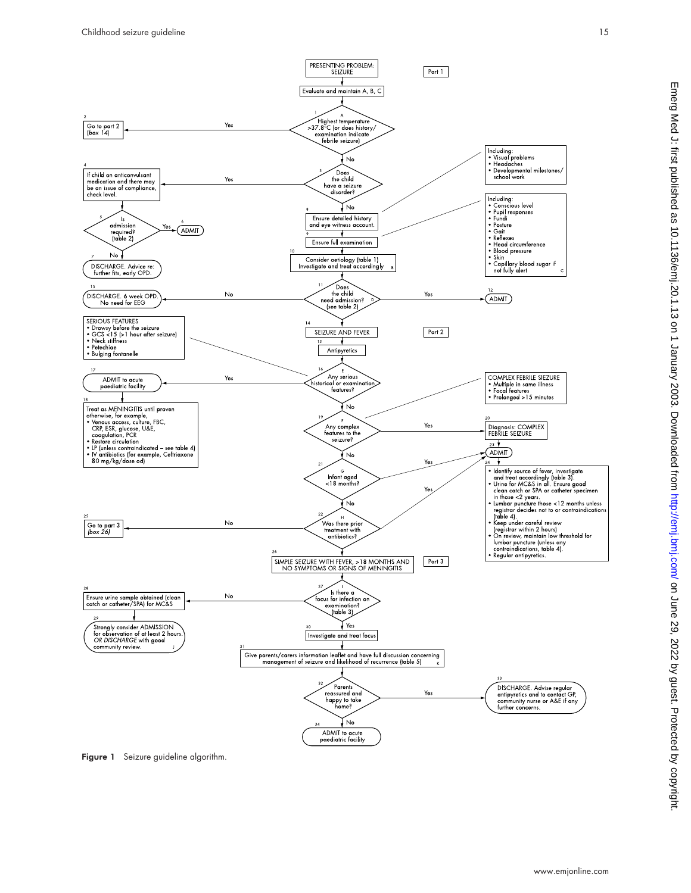

Figure 1 Seizure guideline algorithm.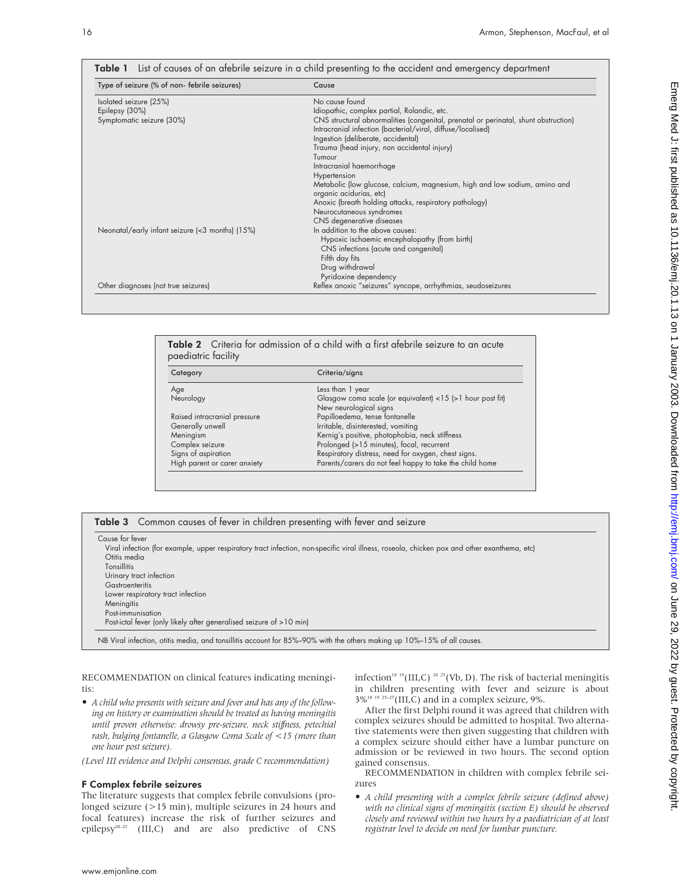| Type of seizure (% of non- febrile seizures)    | Cause                                                                                                 |
|-------------------------------------------------|-------------------------------------------------------------------------------------------------------|
| Isolated seizure (25%)                          | No cause found                                                                                        |
| Epilepsy (30%)                                  | Idiopathic, complex partial, Rolandic, etc.                                                           |
| Symptomatic seizure (30%)                       | CNS structural abnormalities (congenital, prenatal or perinatal, shunt obstruction)                   |
|                                                 | Intracranial infection (bacterial/viral, diffuse/localised)                                           |
|                                                 | Ingestion (deliberate, accidental)                                                                    |
|                                                 | Trauma (head injury, non accidental injury)                                                           |
|                                                 | Tumour                                                                                                |
|                                                 | Intracranial haemorrhage                                                                              |
|                                                 | Hypertension                                                                                          |
|                                                 | Metabolic (low glucose, calcium, magnesium, high and low sodium, amino and<br>organic acidurias, etc) |
|                                                 | Anoxic (breath holding attacks, respiratory pathology)                                                |
|                                                 | Neurocutaneous syndromes                                                                              |
|                                                 | CNS degenerative diseases                                                                             |
| Neonatal/early infant seizure (<3 months) (15%) | In addition to the above causes:                                                                      |
|                                                 | Hypoxic ischaemic encephalopathy (from birth)                                                         |
|                                                 | CNS infections (acute and congenital)                                                                 |
|                                                 | Fifth day fits                                                                                        |
|                                                 | Drug withdrawal                                                                                       |
|                                                 | Pyridoxine dependency                                                                                 |
| Other diagnoses (not true seizures)             | Reflex anoxic "seizures" syncope, arrhythmias, seudoseizures                                          |

Table 2 Criteria for admission of a child with a first afebrile seizure to an acute paediatric facility

| Category                     | Criteria/signs                                            |  |
|------------------------------|-----------------------------------------------------------|--|
| Age                          | Less than 1 year                                          |  |
| Neurology                    | Glasgow coma scale (or equivalent) <15 (>1 hour post fit) |  |
|                              | New neurological signs                                    |  |
| Raised intracranial pressure | Papilloedema, tense fontanelle                            |  |
| Generally unwell             | Irritable, disinterested, vomiting                        |  |
| Meningism                    | Kernig's positive, photophobia, neck stiffness            |  |
| Complex seizure              | Prolonged (>15 minutes), focal, recurrent                 |  |
| Signs of aspiration          | Respiratory distress, need for oxygen, chest signs.       |  |
| High parent or carer anxiety | Parents/carers do not feel happy to take the child home   |  |

| Cause for fever                                                                                                                             |  |
|---------------------------------------------------------------------------------------------------------------------------------------------|--|
| Viral infection (for example, upper respiratory tract infection, non-specific viral illness, roseola, chicken pox and other exanthema, etc) |  |
| Otitis media                                                                                                                                |  |
| <b>Tonsillitis</b>                                                                                                                          |  |
| Urinary tract infection                                                                                                                     |  |
| Gastroenteritis                                                                                                                             |  |
| Lower respiratory tract infection                                                                                                           |  |
| Meningitis                                                                                                                                  |  |
| Post-immunisation                                                                                                                           |  |
| Post-ictal fever (only likely after generalised seizure of >10 min)                                                                         |  |

RECOMMENDATION on clinical features indicating meningitis:

• *A child who presents with seizure and fever and has any of the following on history or examination should be treated as having meningitis until proven otherwise: drowsy pre-seizure, neck stiffness, petechial rash, bulging fontanelle, a Glasgow Coma Scale of <15 (more than one hour post seizure).*

*(Level III evidence and Delphi consensus, grade C recommendation)*

#### F Complex febrile seizures

The literature suggests that complex febrile convulsions (prolonged seizure (>15 min), multiple seizures in 24 hours and focal features) increase the risk of further seizures and epilepsy20–23 (III,C) and are also predictive of CNS infection<sup>18 19</sup>(III,C)<sup>24 25</sup>(Vb, D). The risk of bacterial meningitis in children presenting with fever and seizure is about  $3\%$ <sup>18 19 25–27</sup>(III,C) and in a complex seizure, 9%.

After the first Delphi round it was agreed that children with complex seizures should be admitted to hospital. Two alternative statements were then given suggesting that children with a complex seizure should either have a lumbar puncture on admission or be reviewed in two hours. The second option gained consensus.

RECOMMENDATION in children with complex febrile seizures

• *A child presenting with a complex febrile seizure (defined above) with no clinical signs of meningitis (section E) should be observed closely and reviewed within two hours by a paediatrician of at least registrar level to decide on need for lumbar puncture.*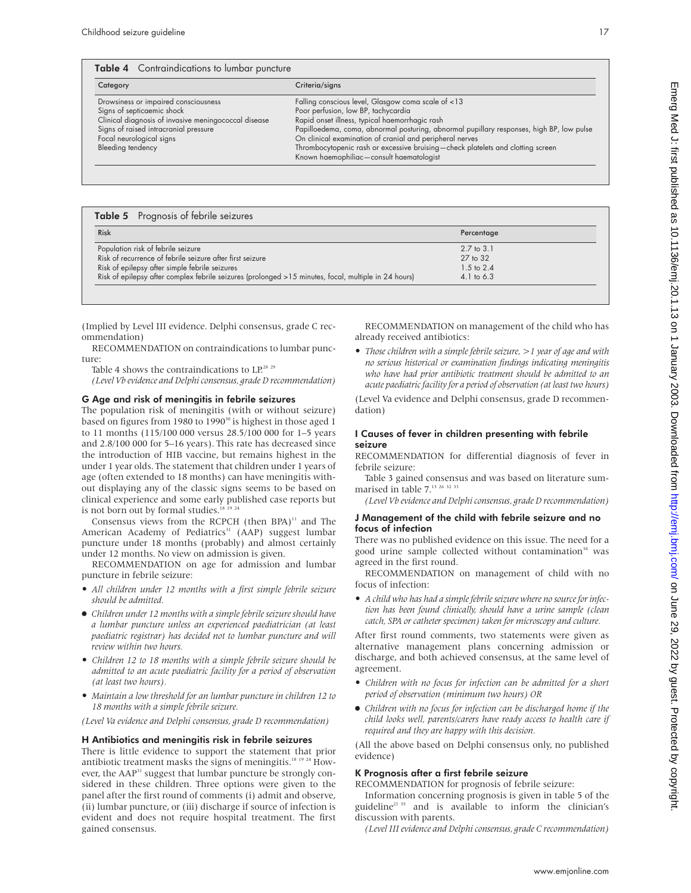# Table 4 Contraindications to lumbar puncture

| Category                                                                                                                                                                                                             | Criteria/signs                                                                                                                                                                                                                                                                                                                                                                                                                     |  |
|----------------------------------------------------------------------------------------------------------------------------------------------------------------------------------------------------------------------|------------------------------------------------------------------------------------------------------------------------------------------------------------------------------------------------------------------------------------------------------------------------------------------------------------------------------------------------------------------------------------------------------------------------------------|--|
| Drowsiness or impaired consciousness<br>Signs of septicaemic shock<br>Clinical diagnosis of invasive meningococcal disease<br>Signs of raised intracranial pressure<br>Focal neurological signs<br>Bleeding tendency | Falling conscious level, Glasgow coma scale of <13<br>Poor perfusion, low BP, tachycardia<br>Rapid onset illness, typical haemorrhagic rash<br>Papilloedema, coma, abnormal posturing, abnormal pupillary responses, high BP, low pulse<br>On clinical examination of cranial and peripheral nerves<br>Thrombocytopenic rash or excessive bruising-check platelets and clotting screen<br>Known haemophiliac-consult haematologist |  |

| <b>Table 5</b> Prognosis of febrile seizures                                                         |                       |  |
|------------------------------------------------------------------------------------------------------|-----------------------|--|
| <b>Risk</b>                                                                                          | Percentage            |  |
| Population risk of febrile seizure                                                                   | $2.7 \text{ to } 3.1$ |  |
| Risk of recurrence of febrile seizure after first seizure                                            | 27 to 32              |  |
| Risk of epilepsy after simple febrile seizures                                                       | $1.5 \text{ to } 2.4$ |  |
| Risk of epilepsy after complex febrile seizures (prolonged >15 minutes, focal, multiple in 24 hours) | 4.1 to 6.3            |  |

(Implied by Level III evidence. Delphi consensus, grade C recommendation)

RECOMMENDATION on contraindications to lumbar puncture:

Table 4 shows the contraindications to LP.<sup>28 29</sup>

*(Level Vb evidence and Delphi consensus, grade D recommendation)*

#### G Age and risk of meningitis in febrile seizures

The population risk of meningitis (with or without seizure) based on figures from 1980 to 1990<sup>30</sup> is highest in those aged 1 to 11 months (115/100 000 versus 28.5/100 000 for 1–5 years and 2.8/100 000 for 5–16 years). This rate has decreased since the introduction of HIB vaccine, but remains highest in the under 1 year olds. The statement that children under 1 years of age (often extended to 18 months) can have meningitis without displaying any of the classic signs seems to be based on clinical experience and some early published case reports but is not born out by formal studies. $14$ 

Consensus views from the RCPCH (then BPA)<sup>11</sup> and The American Academy of Pediatrics<sup>31</sup> (AAP) suggest lumbar puncture under 18 months (probably) and almost certainly under 12 months. No view on admission is given.

RECOMMENDATION on age for admission and lumbar puncture in febrile seizure:

- *All children under 12 months with a first simple febrile seizure should be admitted.*
- x *Children under 12 months with a simple febrile seizure should have a lumbar puncture unless an experienced paediatrician (at least paediatric registrar) has decided not to lumbar puncture and will review within two hours.*
- *Children 12 to 18 months with a simple febrile seizure should be admitted to an acute paediatric facility for a period of observation (at least two hours).*
- *Maintain a low threshold for an lumbar puncture in children 12 to 18 months with a simple febrile seizure.*

*(Level Va evidence and Delphi consensus, grade D recommendation)*

#### H Antibiotics and meningitis risk in febrile seizures

There is little evidence to support the statement that prior antibiotic treatment masks the signs of meningitis.18 19 24 However, the AAP<sup>31</sup> suggest that lumbar puncture be strongly considered in these children. Three options were given to the panel after the first round of comments (i) admit and observe, (ii) lumbar puncture, or (iii) discharge if source of infection is evident and does not require hospital treatment. The first gained consensus.

RECOMMENDATION on management of the child who has already received antibiotics:

• *Those children with a simple febrile seizure, >1 year of age and with no serious historical or examination findings indicating meningitis who have had prior antibiotic treatment should be admitted to an acute paediatric facility for a period of observation (at least two hours)*

(Level Va evidence and Delphi consensus, grade D recommendation)

## I Causes of fever in children presenting with febrile seizure

RECOMMENDATION for differential diagnosis of fever in febrile seizure:

- Table 3 gained consensus and was based on literature summarised in table 7. $13$  26 32 3
- *(Level Vb evidence and Delphi consensus, grade D recommendation)*

#### J Management of the child with febrile seizure and no focus of infection

There was no published evidence on this issue. The need for a good urine sample collected without contamination<sup>34</sup> was agreed in the first round.

RECOMMENDATION on management of child with no focus of infection:

• *A child who has had a simple febrile seizure where no source for infection has been found clinically, should have a urine sample (clean catch, SPA or catheter specimen) taken for microscopy and culture.*

After first round comments, two statements were given as alternative management plans concerning admission or discharge, and both achieved consensus, at the same level of agreement.

- *Children with no focus for infection can be admitted for a short period of observation (minimum two hours) OR*
- x *Children with no focus for infection can be discharged home if the child looks well, parents/carers have ready access to health care if required and they are happy with this decision.*

(All the above based on Delphi consensus only, no published evidence)

#### K Prognosis after a first febrile seizure

RECOMMENDATION for prognosis of febrile seizure:

Information concerning prognosis is given in table 5 of the guideline21 35 and is available to inform the clinician's discussion with parents.

*(Level III evidence and Delphi consensus, grade C recommendation)*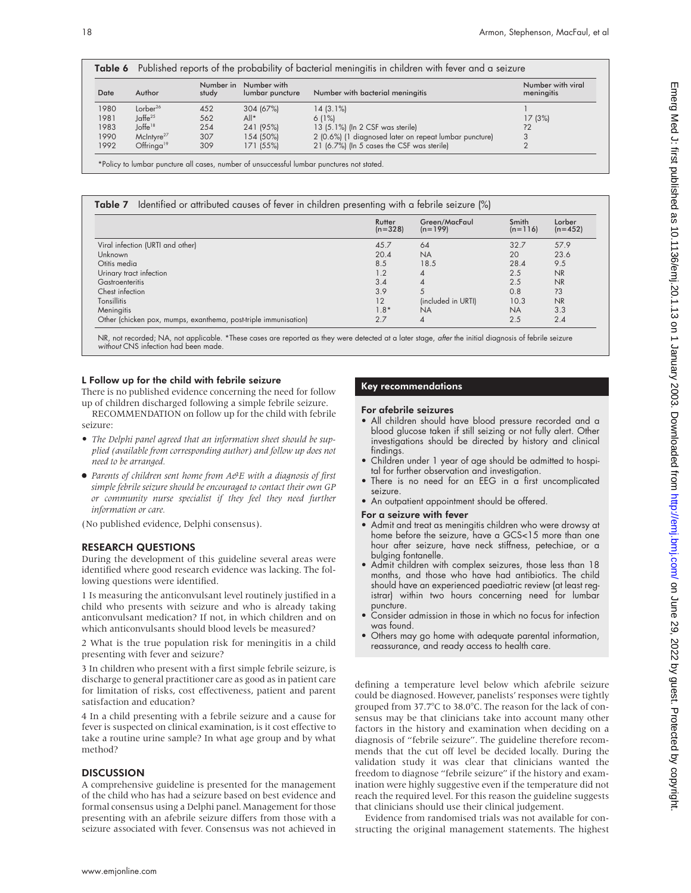| Date | Author                 | Number in<br>study | Number with<br>lumbar puncture | Number with bacterial meningitis                       | Number with viral<br>meningitis |
|------|------------------------|--------------------|--------------------------------|--------------------------------------------------------|---------------------------------|
| 1980 | Lorber <sup>26</sup>   | 452                | 304 (67%)                      | $14(3.1\%)$                                            |                                 |
| 1981 | $J$ affe $^{25}$       | 562                | $All*$                         | 6(1%)                                                  | 17(3%)                          |
| 1983 | Joffe <sup>18</sup>    | 254                | 241 (95%)                      | 13 (5.1%) (In 2 CSF was sterile)                       | ?2                              |
| 1990 | McIntyre <sup>27</sup> | 307                | 154 (50%)                      | 2 (0.6%) (1 diagnosed later on repeat lumbar puncture) |                                 |
| 1992 | Offringa <sup>19</sup> | 309                | 171 (55%)                      | 21 (6.7%) (In 5 cases the CSF was sterile)             |                                 |

icy to lumbar puncture all cases, number of unsuccesstul lumbar punctures not sta

# Table 7 Identified or attributed causes of fever in children presenting with a febrile seizure (%)

|                                                                 | Rutter<br>$(n=328)$ | Green/MacFaul<br>$(n=199)$ | Smith<br>$(n=116)$ | Lorber<br>$(n=452)$ |
|-----------------------------------------------------------------|---------------------|----------------------------|--------------------|---------------------|
| Viral infection (URTI and other)                                | 45.7                | 64                         | 32.7               | 57.9                |
| Unknown                                                         | 20.4                | <b>NA</b>                  | 20                 | 23.6                |
| Otitis media                                                    | 8.5                 | 18.5                       | 28.4               | 9.5                 |
| Urinary tract infection                                         | 1.2                 | 4                          | 2.5                | NR                  |
| Gastroenteritis                                                 | 3.4                 |                            | 2.5                | NR                  |
| Chest infection                                                 | 3.9                 |                            | 0.8                | ?3                  |
| <b>Tonsillitis</b>                                              | 12                  | (included in URTI)         | 10.3               | NR                  |
| Meningitis                                                      | $1.8*$              | <b>NA</b>                  | <b>NA</b>          | 3.3                 |
| Other (chicken pox, mumps, exanthema, post-triple immunisation) | 2.7                 | 4                          | 2.5                | 2.4                 |

NR, not recorded; NA, not applicable. \*These cases are reported as they were detected at a later stage, after the initial diagnosis of febrile seizure without CNS infection had been made.

#### L Follow up for the child with febrile seizure

There is no published evidence concerning the need for follow up of children discharged following a simple febrile seizure.

RECOMMENDATION on follow up for the child with febrile seizure:

- *The Delphi panel agreed that an information sheet should be supplied (available from corresponding author) and follow up does not need to be arranged.*
- x *Parents of children sent home from A&E with a diagnosis of first simple febrile seizure should be encouraged to contact their own GP or community nurse specialist if they feel they need further information or care.*
- (No published evidence, Delphi consensus).

# RESEARCH QUESTIONS

During the development of this guideline several areas were identified where good research evidence was lacking. The following questions were identified.

1 Is measuring the anticonvulsant level routinely justified in a child who presents with seizure and who is already taking anticonvulsant medication? If not, in which children and on which anticonvulsants should blood levels be measured?

2 What is the true population risk for meningitis in a child presenting with fever and seizure?

3 In children who present with a first simple febrile seizure, is discharge to general practitioner care as good as in patient care for limitation of risks, cost effectiveness, patient and parent satisfaction and education?

4 In a child presenting with a febrile seizure and a cause for fever is suspected on clinical examination, is it cost effective to take a routine urine sample? In what age group and by what method?

# **DISCUSSION**

A comprehensive guideline is presented for the management of the child who has had a seizure based on best evidence and formal consensus using a Delphi panel. Management for those presenting with an afebrile seizure differs from those with a seizure associated with fever. Consensus was not achieved in

#### Key recommendations

#### For afebrile seizures

- All children should have blood pressure recorded and a blood glucose taken if still seizing or not fully alert. Other investigations should be directed by history and clinical findings.
- Children under 1 year of age should be admitted to hospital for further observation and investigation.
- There is no need for an EEG in a first uncomplicated seizure.
- An outpatient appointment should be offered.

#### For a seizure with fever

- Admit and treat as meningitis children who were drowsy at home before the seizure, have a GCS<15 more than one hour after seizure, have neck stiffness, petechiae, or a bulging fontanelle.
- Admit children with complex seizures, those less than 18 months, and those who have had antibiotics. The child should have an experienced paediatric review (at least registrar) within two hours concerning need for lumbar puncture.
- Consider admission in those in which no focus for infection was found.
- Others may go home with adequate parental information, reassurance, and ready access to health care.

defining a temperature level below which afebrile seizure could be diagnosed. However, panelists' responses were tightly grouped from 37.7°C to 38.0°C. The reason for the lack of consensus may be that clinicians take into account many other factors in the history and examination when deciding on a diagnosis of "febrile seizure". The guideline therefore recommends that the cut off level be decided locally. During the validation study it was clear that clinicians wanted the freedom to diagnose "febrile seizure" if the history and examination were highly suggestive even if the temperature did not reach the required level. For this reason the guideline suggests that clinicians should use their clinical judgement.

Evidence from randomised trials was not available for constructing the original management statements. The highest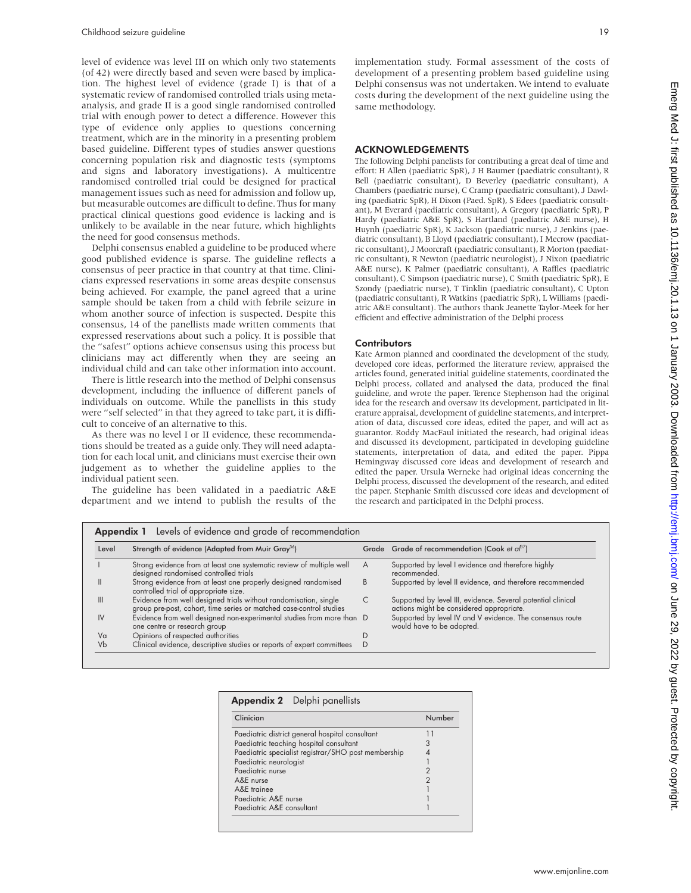level of evidence was level III on which only two statements (of 42) were directly based and seven were based by implication. The highest level of evidence (grade I) is that of a systematic review of randomised controlled trials using metaanalysis, and grade II is a good single randomised controlled trial with enough power to detect a difference. However this type of evidence only applies to questions concerning treatment, which are in the minority in a presenting problem based guideline. Different types of studies answer questions concerning population risk and diagnostic tests (symptoms and signs and laboratory investigations). A multicentre randomised controlled trial could be designed for practical management issues such as need for admission and follow up, but measurable outcomes are difficult to define. Thus for many practical clinical questions good evidence is lacking and is unlikely to be available in the near future, which highlights the need for good consensus methods.

Delphi consensus enabled a guideline to be produced where good published evidence is sparse. The guideline reflects a consensus of peer practice in that country at that time. Clinicians expressed reservations in some areas despite consensus being achieved. For example, the panel agreed that a urine sample should be taken from a child with febrile seizure in whom another source of infection is suspected. Despite this consensus, 14 of the panellists made written comments that expressed reservations about such a policy. It is possible that the "safest" options achieve consensus using this process but clinicians may act differently when they are seeing an individual child and can take other information into account.

There is little research into the method of Delphi consensus development, including the influence of different panels of individuals on outcome. While the panellists in this study were "self selected" in that they agreed to take part, it is difficult to conceive of an alternative to this.

As there was no level I or II evidence, these recommendations should be treated as a guide only. They will need adaptation for each local unit, and clinicians must exercise their own judgement as to whether the guideline applies to the individual patient seen.

The guideline has been validated in a paediatric A&E department and we intend to publish the results of the implementation study. Formal assessment of the costs of development of a presenting problem based guideline using Delphi consensus was not undertaken. We intend to evaluate costs during the development of the next guideline using the same methodology.

# ACKNOWLEDGEMENTS

The following Delphi panelists for contributing a great deal of time and effort: H Allen (paediatric SpR), J H Baumer (paediatric consultant), R Bell (paediatric consultant), D Beverley (paediatric consultant), A Chambers (paediatric nurse), C Cramp (paediatric consultant), J Dawling (paediatric SpR), H Dixon (Paed. SpR), S Edees (paediatric consultant), M Everard (paediatric consultant), A Gregory (paediatric SpR), P Hardy (paediatric A&E SpR), S Hartland (paediatric A&E nurse), H Huynh (paediatric SpR), K Jackson (paediatric nurse), J Jenkins (paediatric consultant), B Lloyd (paediatric consultant), I Mecrow (paediatric consultant), J Moorcraft (paediatric consultant), R Morton (paediatric consultant), R Newton (paediatric neurologist), J Nixon (paediatric A&E nurse), K Palmer (paediatric consultant), A Raffles (paediatric consultant), C Simpson (paediatric nurse), C Smith (paediatric SpR), E Szondy (paediatric nurse), T Tinklin (paediatric consultant), C Upton (paediatric consultant), R Watkins (paediatric SpR), L Williams (paediatric A&E consultant). The authors thank Jeanette Taylor-Meek for her efficient and effective administration of the Delphi process

## **Contributors**

Kate Armon planned and coordinated the development of the study, developed core ideas, performed the literature review, appraised the articles found, generated initial guideline statements, coordinated the Delphi process, collated and analysed the data, produced the final guideline, and wrote the paper. Terence Stephenson had the original idea for the research and oversaw its development, participated in literature appraisal, development of guideline statements, and interpretation of data, discussed core ideas, edited the paper, and will act as guarantor. Roddy MacFaul initiated the research, had original ideas and discussed its development, participated in developing guideline statements, interpretation of data, and edited the paper. Pippa Hemingway discussed core ideas and development of research and edited the paper. Ursula Werneke had original ideas concerning the Delphi process, discussed the development of the research, and edited the paper. Stephanie Smith discussed core ideas and development of the research and participated in the Delphi process.

| Level | Strength of evidence (Adapted from Muir Gray <sup>36</sup> )                                                                            |              | Grade Grade of recommendation (Cook et $a^{\beta 7}$ )                                                   |
|-------|-----------------------------------------------------------------------------------------------------------------------------------------|--------------|----------------------------------------------------------------------------------------------------------|
|       | Strong evidence from at least one systematic review of multiple well<br>designed randomised controlled trials                           | A            | Supported by level I evidence and therefore highly<br>recommended.                                       |
| Ш     | Strong evidence from at least one properly designed randomised<br>controlled trial of appropriate size.                                 | B            | Supported by level II evidence, and therefore recommended                                                |
| III   | Evidence from well designed trials without randomisation, single<br>group pre-post, cohort, time series or matched case-control studies | $\mathsf{C}$ | Supported by level III, evidence. Several potential clinical<br>actions might be considered appropriate. |
| IV    | Evidence from well designed non-experimental studies from more than D<br>one centre or research group                                   |              | Supported by level IV and V evidence. The consensus route<br>would have to be adopted.                   |
| Va    | Opinions of respected authorities                                                                                                       |              |                                                                                                          |
| Vb    | Clinical evidence, descriptive studies or reports of expert committees                                                                  | D            |                                                                                                          |

| Clinician                                           | Number |
|-----------------------------------------------------|--------|
| Paediatric district general hospital consultant     |        |
| Paediatric teaching hospital consultant             |        |
| Paediatric specialist registrar/SHO post membership |        |
| Paediatric neurologist                              |        |
| Paediatric nurse                                    |        |
| A&E nurse                                           |        |
| A&E trainee                                         |        |
| Paediatric A&E nurse                                |        |
| Paediatric A&E consultant                           |        |